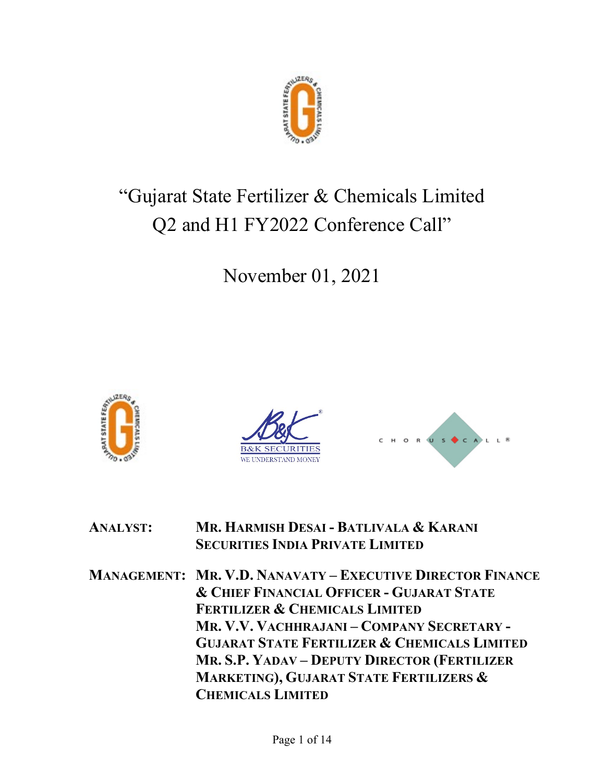

# "Gujarat State Fertilizer & Chemicals Limited Q2 and H1 FY2022 Conference Call"

November 01, 2021







# ANALYST: MR. HARMISH DESAI - BATLIVALA & KARANI SECURITIES INDIA PRIVATE LIMITED

MANAGEMENT: MR. V.D. NANAVATY – EXECUTIVE DIRECTOR FINANCE & CHIEF FINANCIAL OFFICER - GUJARAT STATE FERTILIZER & CHEMICALS LIMITED MR. V.V. VACHHRAJANI – COMPANY SECRETARY - GUJARAT STATE FERTILIZER & CHEMICALS LIMITED MR. S.P. YADAV – DEPUTY DIRECTOR (FERTILIZER MARKETING), GUJARAT STATE FERTILIZERS & CHEMICALS LIMITED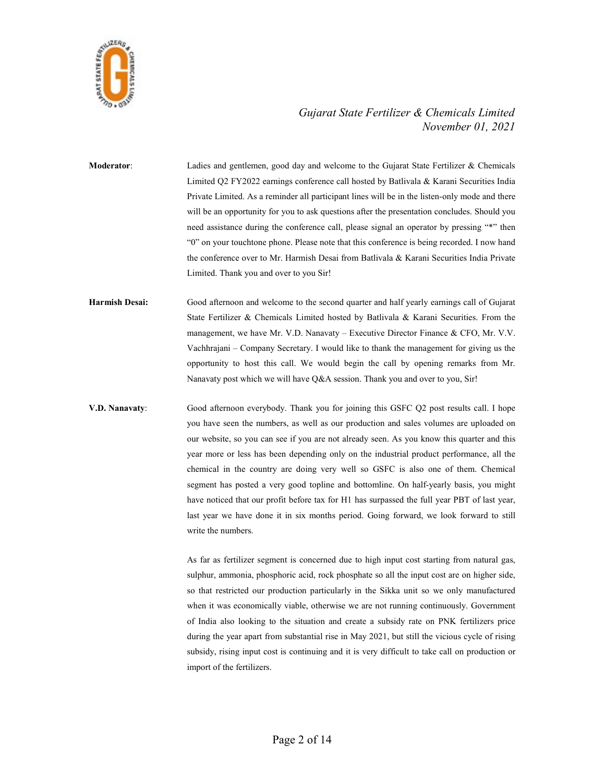

Moderator: Ladies and gentlemen, good day and welcome to the Gujarat State Fertilizer & Chemicals Limited Q2 FY2022 earnings conference call hosted by Batlivala & Karani Securities India Private Limited. As a reminder all participant lines will be in the listen-only mode and there will be an opportunity for you to ask questions after the presentation concludes. Should you need assistance during the conference call, please signal an operator by pressing "\*" then "0" on your touchtone phone. Please note that this conference is being recorded. I now hand the conference over to Mr. Harmish Desai from Batlivala & Karani Securities India Private Limited. Thank you and over to you Sir!

Harmish Desai: Good afternoon and welcome to the second quarter and half yearly earnings call of Gujarat State Fertilizer & Chemicals Limited hosted by Batlivala & Karani Securities. From the management, we have Mr. V.D. Nanavaty – Executive Director Finance & CFO, Mr. V.V. Vachhrajani – Company Secretary. I would like to thank the management for giving us the opportunity to host this call. We would begin the call by opening remarks from Mr. Nanavaty post which we will have Q&A session. Thank you and over to you, Sir!

V.D. Nanavaty: Good afternoon everybody. Thank you for joining this GSFC Q2 post results call. I hope you have seen the numbers, as well as our production and sales volumes are uploaded on our website, so you can see if you are not already seen. As you know this quarter and this year more or less has been depending only on the industrial product performance, all the chemical in the country are doing very well so GSFC is also one of them. Chemical segment has posted a very good topline and bottomline. On half-yearly basis, you might have noticed that our profit before tax for H1 has surpassed the full year PBT of last year, last year we have done it in six months period. Going forward, we look forward to still write the numbers.

> As far as fertilizer segment is concerned due to high input cost starting from natural gas, sulphur, ammonia, phosphoric acid, rock phosphate so all the input cost are on higher side, so that restricted our production particularly in the Sikka unit so we only manufactured when it was economically viable, otherwise we are not running continuously. Government of India also looking to the situation and create a subsidy rate on PNK fertilizers price during the year apart from substantial rise in May 2021, but still the vicious cycle of rising subsidy, rising input cost is continuing and it is very difficult to take call on production or import of the fertilizers.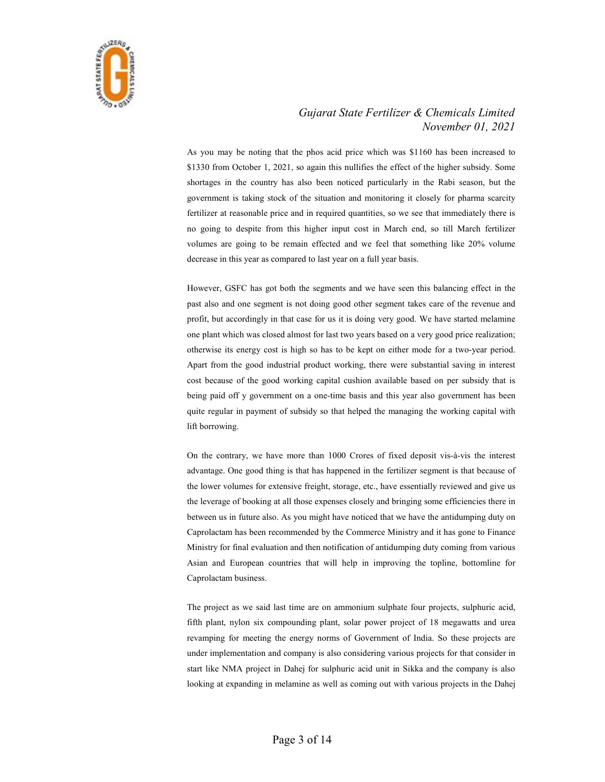

 As you may be noting that the phos acid price which was \$1160 has been increased to \$1330 from October 1, 2021, so again this nullifies the effect of the higher subsidy. Some shortages in the country has also been noticed particularly in the Rabi season, but the government is taking stock of the situation and monitoring it closely for pharma scarcity fertilizer at reasonable price and in required quantities, so we see that immediately there is no going to despite from this higher input cost in March end, so till March fertilizer volumes are going to be remain effected and we feel that something like 20% volume decrease in this year as compared to last year on a full year basis.

 However, GSFC has got both the segments and we have seen this balancing effect in the past also and one segment is not doing good other segment takes care of the revenue and profit, but accordingly in that case for us it is doing very good. We have started melamine one plant which was closed almost for last two years based on a very good price realization; otherwise its energy cost is high so has to be kept on either mode for a two-year period. Apart from the good industrial product working, there were substantial saving in interest cost because of the good working capital cushion available based on per subsidy that is being paid off y government on a one-time basis and this year also government has been quite regular in payment of subsidy so that helped the managing the working capital with lift borrowing.

 On the contrary, we have more than 1000 Crores of fixed deposit vis-à-vis the interest advantage. One good thing is that has happened in the fertilizer segment is that because of the lower volumes for extensive freight, storage, etc., have essentially reviewed and give us the leverage of booking at all those expenses closely and bringing some efficiencies there in between us in future also. As you might have noticed that we have the antidumping duty on Caprolactam has been recommended by the Commerce Ministry and it has gone to Finance Ministry for final evaluation and then notification of antidumping duty coming from various Asian and European countries that will help in improving the topline, bottomline for Caprolactam business.

 The project as we said last time are on ammonium sulphate four projects, sulphuric acid, fifth plant, nylon six compounding plant, solar power project of 18 megawatts and urea revamping for meeting the energy norms of Government of India. So these projects are under implementation and company is also considering various projects for that consider in start like NMA project in Dahej for sulphuric acid unit in Sikka and the company is also looking at expanding in melamine as well as coming out with various projects in the Dahej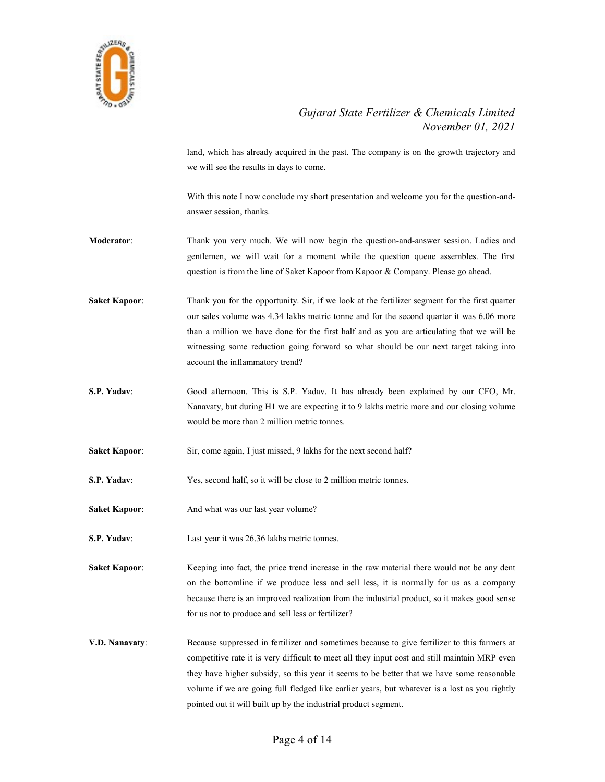

land, which has already acquired in the past. The company is on the growth trajectory and we will see the results in days to come.

 With this note I now conclude my short presentation and welcome you for the question-andanswer session, thanks.

- Moderator: Thank you very much. We will now begin the question-and-answer session. Ladies and gentlemen, we will wait for a moment while the question queue assembles. The first question is from the line of Saket Kapoor from Kapoor & Company. Please go ahead.
- Saket Kapoor: Thank you for the opportunity. Sir, if we look at the fertilizer segment for the first quarter our sales volume was 4.34 lakhs metric tonne and for the second quarter it was 6.06 more than a million we have done for the first half and as you are articulating that we will be witnessing some reduction going forward so what should be our next target taking into account the inflammatory trend?
- S.P. Yadav: Good afternoon. This is S.P. Yadav. It has already been explained by our CFO, Mr. Nanavaty, but during H1 we are expecting it to 9 lakhs metric more and our closing volume would be more than 2 million metric tonnes.
- Saket Kapoor: Sir, come again, I just missed, 9 lakhs for the next second half?
- S.P. Yadav: Yes, second half, so it will be close to 2 million metric tonnes.
- Saket Kapoor: And what was our last year volume?
- S.P. Yadav: Last year it was 26.36 lakhs metric tonnes.

Saket Kapoor: Keeping into fact, the price trend increase in the raw material there would not be any dent on the bottomline if we produce less and sell less, it is normally for us as a company because there is an improved realization from the industrial product, so it makes good sense for us not to produce and sell less or fertilizer?

V.D. Nanavaty: Because suppressed in fertilizer and sometimes because to give fertilizer to this farmers at competitive rate it is very difficult to meet all they input cost and still maintain MRP even they have higher subsidy, so this year it seems to be better that we have some reasonable volume if we are going full fledged like earlier years, but whatever is a lost as you rightly pointed out it will built up by the industrial product segment.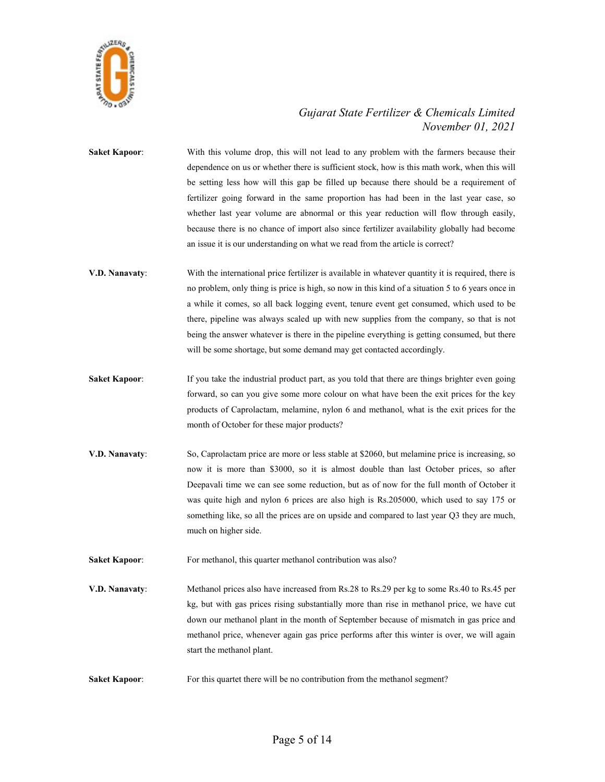

Saket Kapoor: With this volume drop, this will not lead to any problem with the farmers because their dependence on us or whether there is sufficient stock, how is this math work, when this will be setting less how will this gap be filled up because there should be a requirement of fertilizer going forward in the same proportion has had been in the last year case, so whether last year volume are abnormal or this year reduction will flow through easily, because there is no chance of import also since fertilizer availability globally had become an issue it is our understanding on what we read from the article is correct?

- V.D. Nanavaty: With the international price fertilizer is available in whatever quantity it is required, there is no problem, only thing is price is high, so now in this kind of a situation 5 to 6 years once in a while it comes, so all back logging event, tenure event get consumed, which used to be there, pipeline was always scaled up with new supplies from the company, so that is not being the answer whatever is there in the pipeline everything is getting consumed, but there will be some shortage, but some demand may get contacted accordingly.
- Saket Kapoor: If you take the industrial product part, as you told that there are things brighter even going forward, so can you give some more colour on what have been the exit prices for the key products of Caprolactam, melamine, nylon 6 and methanol, what is the exit prices for the month of October for these major products?
- V.D. Nanavaty: So, Caprolactam price are more or less stable at \$2060, but melamine price is increasing, so now it is more than \$3000, so it is almost double than last October prices, so after Deepavali time we can see some reduction, but as of now for the full month of October it was quite high and nylon 6 prices are also high is Rs.205000, which used to say 175 or something like, so all the prices are on upside and compared to last year Q3 they are much, much on higher side.

Saket Kapoor: For methanol, this quarter methanol contribution was also?

- V.D. Nanavaty: Methanol prices also have increased from Rs.28 to Rs.29 per kg to some Rs.40 to Rs.45 per kg, but with gas prices rising substantially more than rise in methanol price, we have cut down our methanol plant in the month of September because of mismatch in gas price and methanol price, whenever again gas price performs after this winter is over, we will again start the methanol plant.
- Saket Kapoor: For this quartet there will be no contribution from the methanol segment?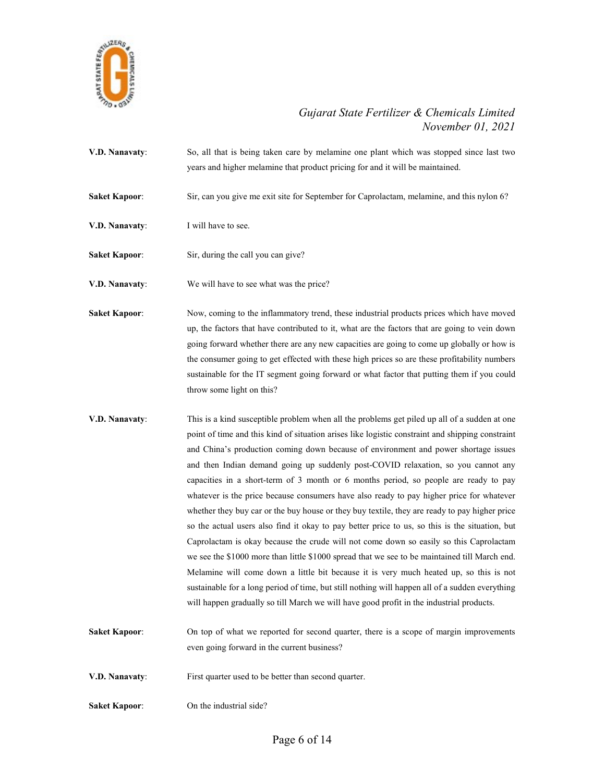

- V.D. Nanavaty: So, all that is being taken care by melamine one plant which was stopped since last two years and higher melamine that product pricing for and it will be maintained.
- Saket Kapoor: Sir, can you give me exit site for September for Caprolactam, melamine, and this nylon 6?
- **V.D. Nanavaty:** I will have to see.
- Saket Kapoor: Sir, during the call you can give?
- V.D. Nanavaty: We will have to see what was the price?
- Saket Kapoor: Now, coming to the inflammatory trend, these industrial products prices which have moved up, the factors that have contributed to it, what are the factors that are going to vein down going forward whether there are any new capacities are going to come up globally or how is the consumer going to get effected with these high prices so are these profitability numbers sustainable for the IT segment going forward or what factor that putting them if you could throw some light on this?
- **V.D. Nanavaty:** This is a kind susceptible problem when all the problems get piled up all of a sudden at one point of time and this kind of situation arises like logistic constraint and shipping constraint and China's production coming down because of environment and power shortage issues and then Indian demand going up suddenly post-COVID relaxation, so you cannot any capacities in a short-term of 3 month or 6 months period, so people are ready to pay whatever is the price because consumers have also ready to pay higher price for whatever whether they buy car or the buy house or they buy textile, they are ready to pay higher price so the actual users also find it okay to pay better price to us, so this is the situation, but Caprolactam is okay because the crude will not come down so easily so this Caprolactam we see the \$1000 more than little \$1000 spread that we see to be maintained till March end. Melamine will come down a little bit because it is very much heated up, so this is not sustainable for a long period of time, but still nothing will happen all of a sudden everything will happen gradually so till March we will have good profit in the industrial products.
- Saket Kapoor: On top of what we reported for second quarter, there is a scope of margin improvements even going forward in the current business?
- V.D. Nanavaty: First quarter used to be better than second quarter.
- Saket Kapoor: On the industrial side?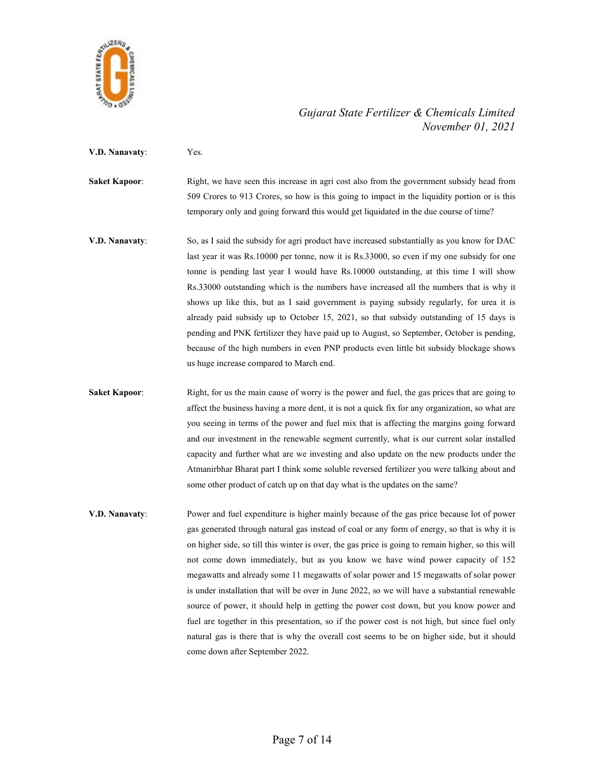

V.D. Nanavaty: Yes.

Saket Kapoor: Right, we have seen this increase in agri cost also from the government subsidy head from 509 Crores to 913 Crores, so how is this going to impact in the liquidity portion or is this temporary only and going forward this would get liquidated in the due course of time?

- V.D. Nanavaty: So, as I said the subsidy for agri product have increased substantially as you know for DAC last year it was Rs.10000 per tonne, now it is Rs.33000, so even if my one subsidy for one tonne is pending last year I would have Rs.10000 outstanding, at this time I will show Rs.33000 outstanding which is the numbers have increased all the numbers that is why it shows up like this, but as I said government is paying subsidy regularly, for urea it is already paid subsidy up to October 15, 2021, so that subsidy outstanding of 15 days is pending and PNK fertilizer they have paid up to August, so September, October is pending, because of the high numbers in even PNP products even little bit subsidy blockage shows us huge increase compared to March end.
- Saket Kapoor: Right, for us the main cause of worry is the power and fuel, the gas prices that are going to affect the business having a more dent, it is not a quick fix for any organization, so what are you seeing in terms of the power and fuel mix that is affecting the margins going forward and our investment in the renewable segment currently, what is our current solar installed capacity and further what are we investing and also update on the new products under the Atmanirbhar Bharat part I think some soluble reversed fertilizer you were talking about and some other product of catch up on that day what is the updates on the same?
- V.D. Nanavaty: Power and fuel expenditure is higher mainly because of the gas price because lot of power gas generated through natural gas instead of coal or any form of energy, so that is why it is on higher side, so till this winter is over, the gas price is going to remain higher, so this will not come down immediately, but as you know we have wind power capacity of 152 megawatts and already some 11 megawatts of solar power and 15 megawatts of solar power is under installation that will be over in June 2022, so we will have a substantial renewable source of power, it should help in getting the power cost down, but you know power and fuel are together in this presentation, so if the power cost is not high, but since fuel only natural gas is there that is why the overall cost seems to be on higher side, but it should come down after September 2022.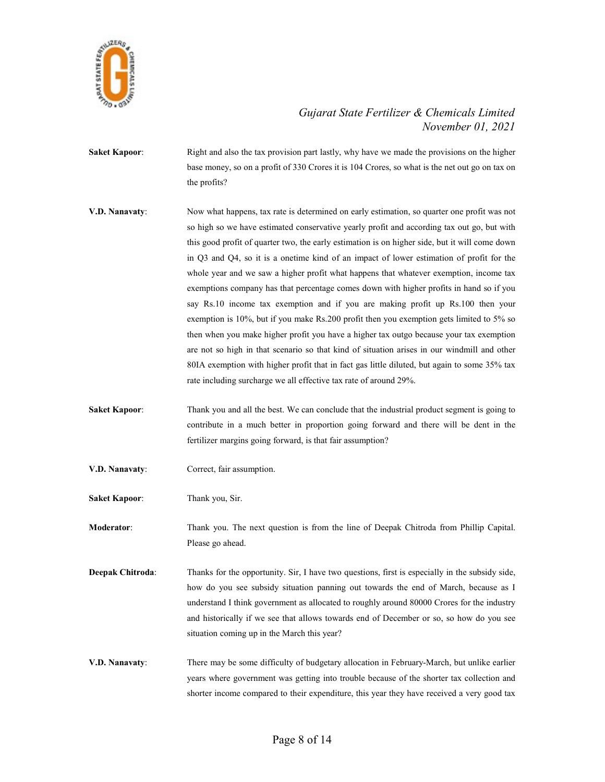

- Saket Kapoor: Right and also the tax provision part lastly, why have we made the provisions on the higher base money, so on a profit of 330 Crores it is 104 Crores, so what is the net out go on tax on the profits?
- V.D. Nanavaty: Now what happens, tax rate is determined on early estimation, so quarter one profit was not so high so we have estimated conservative yearly profit and according tax out go, but with this good profit of quarter two, the early estimation is on higher side, but it will come down in Q3 and Q4, so it is a onetime kind of an impact of lower estimation of profit for the whole year and we saw a higher profit what happens that whatever exemption, income tax exemptions company has that percentage comes down with higher profits in hand so if you say Rs.10 income tax exemption and if you are making profit up Rs.100 then your exemption is 10%, but if you make Rs.200 profit then you exemption gets limited to 5% so then when you make higher profit you have a higher tax outgo because your tax exemption are not so high in that scenario so that kind of situation arises in our windmill and other 80IA exemption with higher profit that in fact gas little diluted, but again to some 35% tax rate including surcharge we all effective tax rate of around 29%.
- Saket Kapoor: Thank you and all the best. We can conclude that the industrial product segment is going to contribute in a much better in proportion going forward and there will be dent in the fertilizer margins going forward, is that fair assumption?
- V.D. Nanavaty: Correct, fair assumption.
- Saket Kapoor: Thank you, Sir.

Moderator: Thank you. The next question is from the line of Deepak Chitroda from Phillip Capital. Please go ahead.

- Deepak Chitroda: Thanks for the opportunity. Sir, I have two questions, first is especially in the subsidy side, how do you see subsidy situation panning out towards the end of March, because as I understand I think government as allocated to roughly around 80000 Crores for the industry and historically if we see that allows towards end of December or so, so how do you see situation coming up in the March this year?
- V.D. Nanavaty: There may be some difficulty of budgetary allocation in February-March, but unlike earlier years where government was getting into trouble because of the shorter tax collection and shorter income compared to their expenditure, this year they have received a very good tax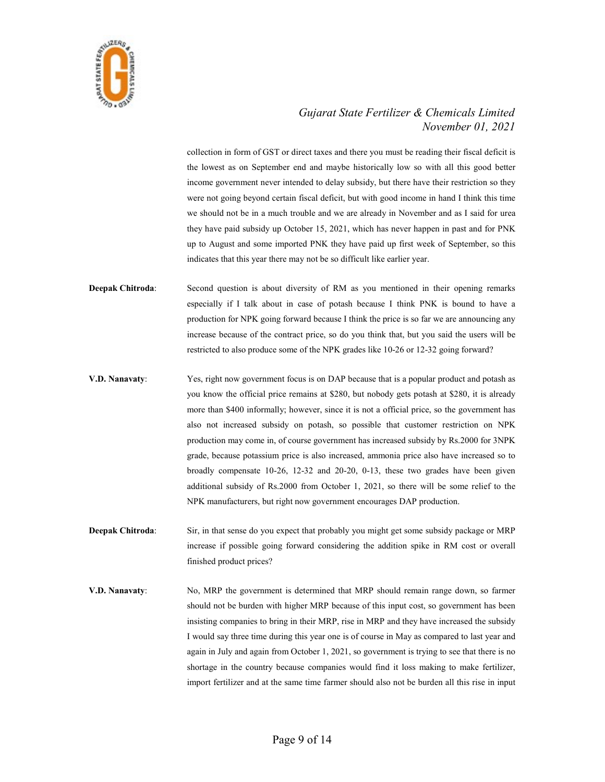

collection in form of GST or direct taxes and there you must be reading their fiscal deficit is the lowest as on September end and maybe historically low so with all this good better income government never intended to delay subsidy, but there have their restriction so they were not going beyond certain fiscal deficit, but with good income in hand I think this time we should not be in a much trouble and we are already in November and as I said for urea they have paid subsidy up October 15, 2021, which has never happen in past and for PNK up to August and some imported PNK they have paid up first week of September, so this indicates that this year there may not be so difficult like earlier year.

- Deepak Chitroda: Second question is about diversity of RM as you mentioned in their opening remarks especially if I talk about in case of potash because I think PNK is bound to have a production for NPK going forward because I think the price is so far we are announcing any increase because of the contract price, so do you think that, but you said the users will be restricted to also produce some of the NPK grades like 10-26 or 12-32 going forward?
- V.D. Nanavaty: Yes, right now government focus is on DAP because that is a popular product and potash as you know the official price remains at \$280, but nobody gets potash at \$280, it is already more than \$400 informally; however, since it is not a official price, so the government has also not increased subsidy on potash, so possible that customer restriction on NPK production may come in, of course government has increased subsidy by Rs.2000 for 3NPK grade, because potassium price is also increased, ammonia price also have increased so to broadly compensate 10-26, 12-32 and 20-20, 0-13, these two grades have been given additional subsidy of Rs.2000 from October 1, 2021, so there will be some relief to the NPK manufacturers, but right now government encourages DAP production.
- Deepak Chitroda: Sir, in that sense do you expect that probably you might get some subsidy package or MRP increase if possible going forward considering the addition spike in RM cost or overall finished product prices?
- V.D. Nanavaty: No, MRP the government is determined that MRP should remain range down, so farmer should not be burden with higher MRP because of this input cost, so government has been insisting companies to bring in their MRP, rise in MRP and they have increased the subsidy I would say three time during this year one is of course in May as compared to last year and again in July and again from October 1, 2021, so government is trying to see that there is no shortage in the country because companies would find it loss making to make fertilizer, import fertilizer and at the same time farmer should also not be burden all this rise in input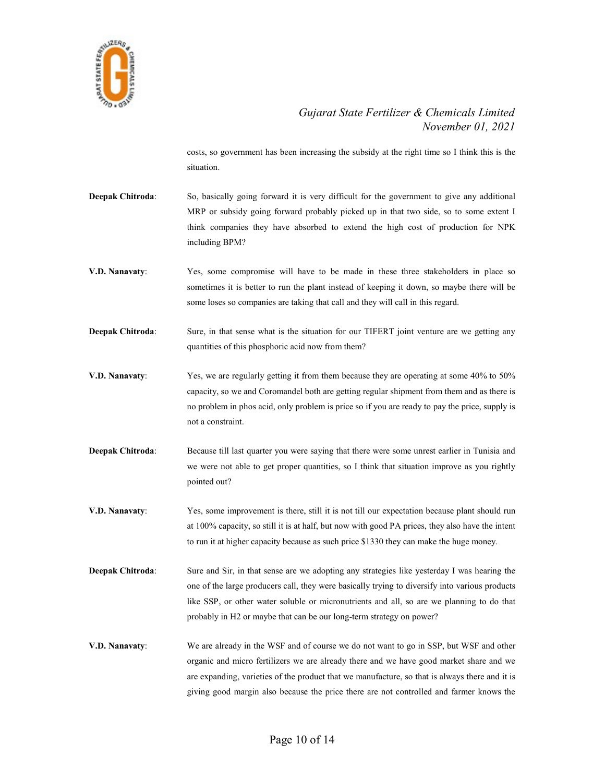

costs, so government has been increasing the subsidy at the right time so I think this is the situation.

- Deepak Chitroda: So, basically going forward it is very difficult for the government to give any additional MRP or subsidy going forward probably picked up in that two side, so to some extent I think companies they have absorbed to extend the high cost of production for NPK including BPM?
- V.D. Nanavaty: Yes, some compromise will have to be made in these three stakeholders in place so sometimes it is better to run the plant instead of keeping it down, so maybe there will be some loses so companies are taking that call and they will call in this regard.
- Deepak Chitroda: Sure, in that sense what is the situation for our TIFERT joint venture are we getting any quantities of this phosphoric acid now from them?
- V.D. Nanavaty: Yes, we are regularly getting it from them because they are operating at some 40% to 50% capacity, so we and Coromandel both are getting regular shipment from them and as there is no problem in phos acid, only problem is price so if you are ready to pay the price, supply is not a constraint.
- Deepak Chitroda: Because till last quarter you were saying that there were some unrest earlier in Tunisia and we were not able to get proper quantities, so I think that situation improve as you rightly pointed out?
- V.D. Nanavaty: Yes, some improvement is there, still it is not till our expectation because plant should run at 100% capacity, so still it is at half, but now with good PA prices, they also have the intent to run it at higher capacity because as such price \$1330 they can make the huge money.
- Deepak Chitroda: Sure and Sir, in that sense are we adopting any strategies like yesterday I was hearing the one of the large producers call, they were basically trying to diversify into various products like SSP, or other water soluble or micronutrients and all, so are we planning to do that probably in H2 or maybe that can be our long-term strategy on power?
- V.D. Nanavaty: We are already in the WSF and of course we do not want to go in SSP, but WSF and other organic and micro fertilizers we are already there and we have good market share and we are expanding, varieties of the product that we manufacture, so that is always there and it is giving good margin also because the price there are not controlled and farmer knows the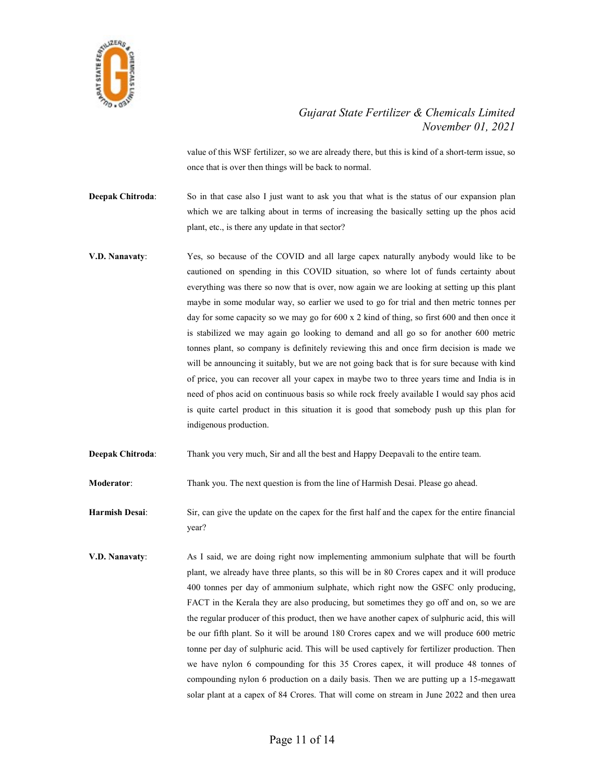

value of this WSF fertilizer, so we are already there, but this is kind of a short-term issue, so once that is over then things will be back to normal.

Deepak Chitroda: So in that case also I just want to ask you that what is the status of our expansion plan which we are talking about in terms of increasing the basically setting up the phos acid plant, etc., is there any update in that sector?

- V.D. Nanavaty: Yes, so because of the COVID and all large capex naturally anybody would like to be cautioned on spending in this COVID situation, so where lot of funds certainty about everything was there so now that is over, now again we are looking at setting up this plant maybe in some modular way, so earlier we used to go for trial and then metric tonnes per day for some capacity so we may go for 600 x 2 kind of thing, so first 600 and then once it is stabilized we may again go looking to demand and all go so for another 600 metric tonnes plant, so company is definitely reviewing this and once firm decision is made we will be announcing it suitably, but we are not going back that is for sure because with kind of price, you can recover all your capex in maybe two to three years time and India is in need of phos acid on continuous basis so while rock freely available I would say phos acid is quite cartel product in this situation it is good that somebody push up this plan for indigenous production.
- Deepak Chitroda: Thank you very much, Sir and all the best and Happy Deepavali to the entire team.

Moderator: Thank you. The next question is from the line of Harmish Desai. Please go ahead.

Harmish Desai: Sir, can give the update on the capex for the first half and the capex for the entire financial year?

V.D. Nanavaty: As I said, we are doing right now implementing ammonium sulphate that will be fourth plant, we already have three plants, so this will be in 80 Crores capex and it will produce 400 tonnes per day of ammonium sulphate, which right now the GSFC only producing, FACT in the Kerala they are also producing, but sometimes they go off and on, so we are the regular producer of this product, then we have another capex of sulphuric acid, this will be our fifth plant. So it will be around 180 Crores capex and we will produce 600 metric tonne per day of sulphuric acid. This will be used captively for fertilizer production. Then we have nylon 6 compounding for this 35 Crores capex, it will produce 48 tonnes of compounding nylon 6 production on a daily basis. Then we are putting up a 15-megawatt solar plant at a capex of 84 Crores. That will come on stream in June 2022 and then urea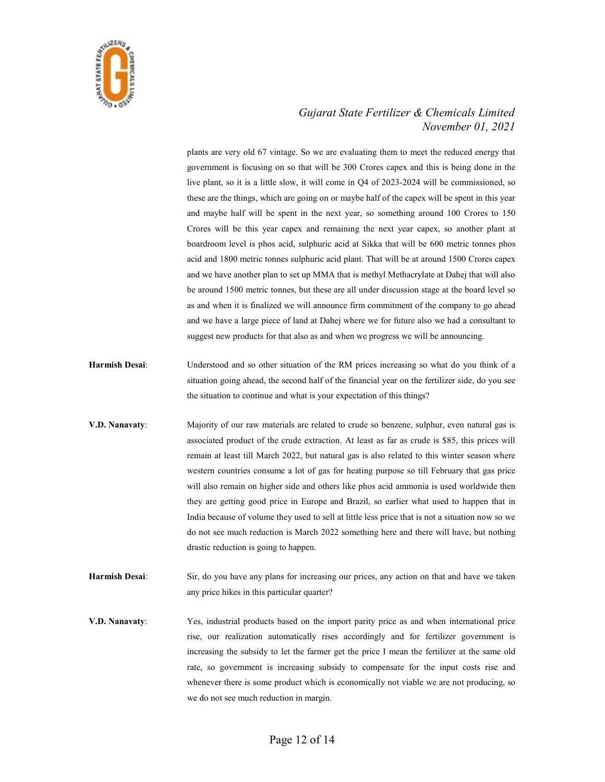

plants are very old 67 vintage. So we are evaluating them to meet the reduced energy that government is focusing on so that will be 300 Crores capex and this is being done in the live plant, so it is a little slow, it will come in Q4 of 2023-2024 will be commissioned, so these are the things, which are going on or maybe half of the capex will be spent in this year and maybe half will be spent in the next year, so something around 100 Crores to 150 Crores will be this year capex and remaining the next year capex, so another plant at boardroom level is phos acid, sulphuric acid at Sikka that will be 600 metric tonnes phos acid and 1800 metric tonnes sulphuric acid plant. That will be at around 1500 Crores capex and we have another plan to set up MMA that is methyl Methacrylate at Dahej that will also be around 1500 metric tonnes, but these are all under discussion stage at the board level so as and when it is finalized we will announce firm commitment of the company to go ahead and we have a large piece of land at Dahej where we for future also we had a consultant to suggest new products for that also as and when we progress we will be announcing.

- Harmish Desai: Understood and so other situation of the RM prices increasing so what do you think of a situation going ahead, the second half of the financial year on the fertilizer side, do you see the situation to continue and what is your expectation of this things?
- V.D. Nanavaty: Majority of our raw materials are related to crude so benzene, sulphur, even natural gas is associated product of the crude extraction. At least as far as crude is \$85, this prices will remain at least till March 2022, but natural gas is also related to this winter season where western countries consume a lot of gas for heating purpose so till February that gas price will also remain on higher side and others like phos acid ammonia is used worldwide then they are getting good price in Europe and Brazil, so earlier what used to happen that in India because of volume they used to sell at little less price that is not a situation now so we do not see much reduction is March 2022 something here and there will have, but nothing drastic reduction is going to happen.
- Harmish Desai: Sir, do you have any plans for increasing our prices, any action on that and have we taken any price hikes in this particular quarter?
- V.D. Nanavaty: Yes, industrial products based on the import parity price as and when international price rise, our realization automatically rises accordingly and for fertilizer government is increasing the subsidy to let the farmer get the price I mean the fertilizer at the same old rate, so government is increasing subsidy to compensate for the input costs rise and whenever there is some product which is economically not viable we are not producing, so we do not see much reduction in margin.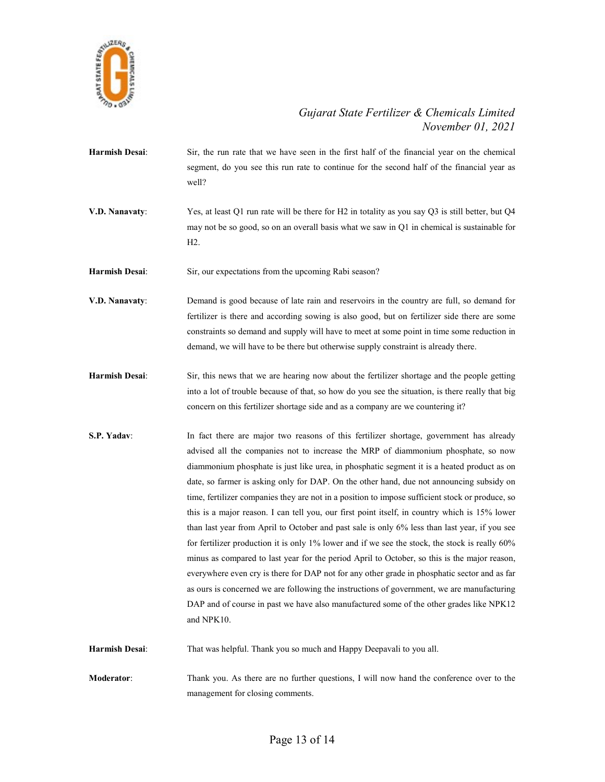

- Harmish Desai: Sir, the run rate that we have seen in the first half of the financial year on the chemical segment, do you see this run rate to continue for the second half of the financial year as well?
- V.D. Nanavaty: Yes, at least Q1 run rate will be there for H2 in totality as you say Q3 is still better, but Q4 may not be so good, so on an overall basis what we saw in Q1 in chemical is sustainable for H2.

Harmish Desai: Sir, our expectations from the upcoming Rabi season?

- V.D. Nanavaty: Demand is good because of late rain and reservoirs in the country are full, so demand for fertilizer is there and according sowing is also good, but on fertilizer side there are some constraints so demand and supply will have to meet at some point in time some reduction in demand, we will have to be there but otherwise supply constraint is already there.
- Harmish Desai: Sir, this news that we are hearing now about the fertilizer shortage and the people getting into a lot of trouble because of that, so how do you see the situation, is there really that big concern on this fertilizer shortage side and as a company are we countering it?
- S.P. Yadav: In fact there are major two reasons of this fertilizer shortage, government has already advised all the companies not to increase the MRP of diammonium phosphate, so now diammonium phosphate is just like urea, in phosphatic segment it is a heated product as on date, so farmer is asking only for DAP. On the other hand, due not announcing subsidy on time, fertilizer companies they are not in a position to impose sufficient stock or produce, so this is a major reason. I can tell you, our first point itself, in country which is 15% lower than last year from April to October and past sale is only 6% less than last year, if you see for fertilizer production it is only 1% lower and if we see the stock, the stock is really 60% minus as compared to last year for the period April to October, so this is the major reason, everywhere even cry is there for DAP not for any other grade in phosphatic sector and as far as ours is concerned we are following the instructions of government, we are manufacturing DAP and of course in past we have also manufactured some of the other grades like NPK12 and NPK10.

Harmish Desai: That was helpful. Thank you so much and Happy Deepavali to you all.

Moderator: Thank you. As there are no further questions, I will now hand the conference over to the management for closing comments.